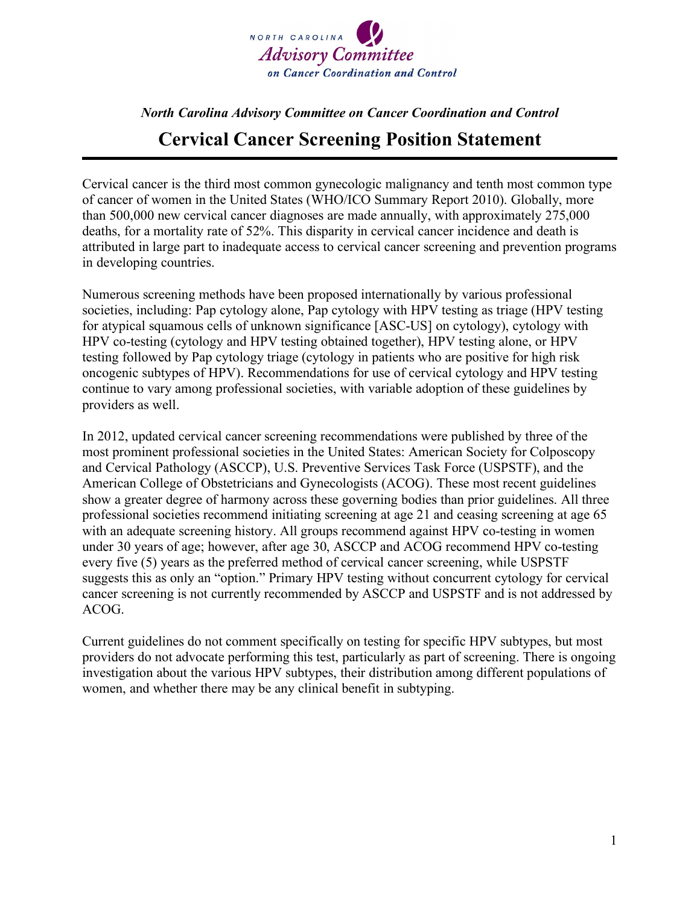

## *North Carolina Advisory Committee on Cancer Coordination and Control* **Cervical Cancer Screening Position Statement**

Cervical cancer is the third most common gynecologic malignancy and tenth most common type of cancer of women in the United States (WHO/ICO Summary Report 2010). Globally, more than 500,000 new cervical cancer diagnoses are made annually, with approximately 275,000 deaths, for a mortality rate of 52%. This disparity in cervical cancer incidence and death is attributed in large part to inadequate access to cervical cancer screening and prevention programs in developing countries.

Numerous screening methods have been proposed internationally by various professional societies, including: Pap cytology alone, Pap cytology with HPV testing as triage (HPV testing for atypical squamous cells of unknown significance [ASC-US] on cytology), cytology with HPV co-testing (cytology and HPV testing obtained together), HPV testing alone, or HPV testing followed by Pap cytology triage (cytology in patients who are positive for high risk oncogenic subtypes of HPV). Recommendations for use of cervical cytology and HPV testing continue to vary among professional societies, with variable adoption of these guidelines by providers as well.

In 2012, updated cervical cancer screening recommendations were published by three of the most prominent professional societies in the United States: American Society for Colposcopy and Cervical Pathology (ASCCP), U.S. Preventive Services Task Force (USPSTF), and the American College of Obstetricians and Gynecologists (ACOG). These most recent guidelines show a greater degree of harmony across these governing bodies than prior guidelines. All three professional societies recommend initiating screening at age 21 and ceasing screening at age 65 with an adequate screening history. All groups recommend against HPV co-testing in women under 30 years of age; however, after age 30, ASCCP and ACOG recommend HPV co-testing every five (5) years as the preferred method of cervical cancer screening, while USPSTF suggests this as only an "option." Primary HPV testing without concurrent cytology for cervical cancer screening is not currently recommended by ASCCP and USPSTF and is not addressed by ACOG.

Current guidelines do not comment specifically on testing for specific HPV subtypes, but most providers do not advocate performing this test, particularly as part of screening. There is ongoing investigation about the various HPV subtypes, their distribution among different populations of women, and whether there may be any clinical benefit in subtyping.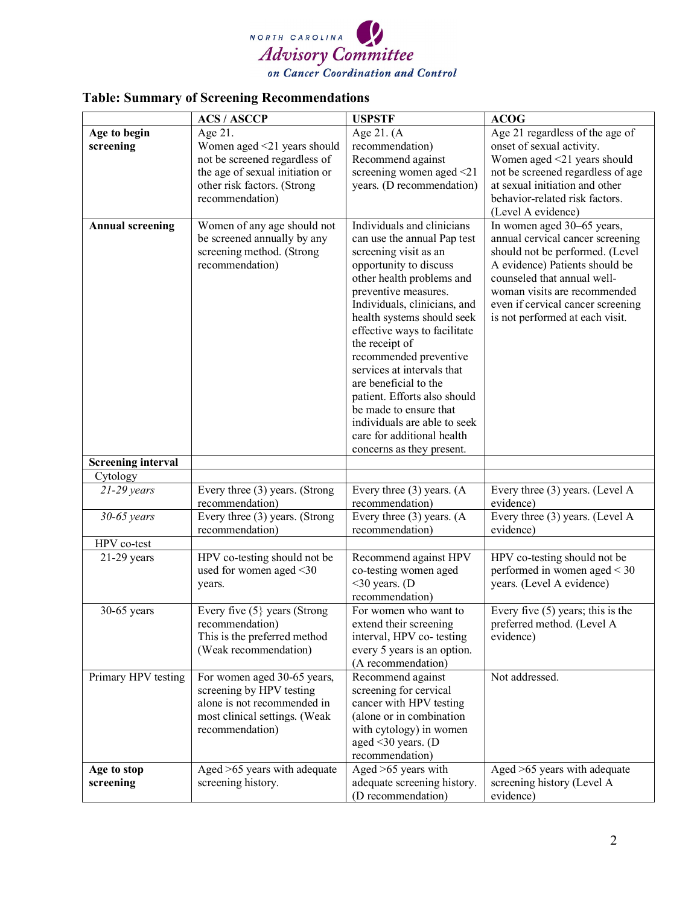

## **Table: Summary of Screening Recommendations**

|                           | <b>ACS / ASCCP</b>                                                                                                                                           | <b>USPSTF</b>                                                                                                                                                                                                                                                                                                                                                                                                                                                                                                           | <b>ACOG</b>                                                                                                                                                                                                                                                                |
|---------------------------|--------------------------------------------------------------------------------------------------------------------------------------------------------------|-------------------------------------------------------------------------------------------------------------------------------------------------------------------------------------------------------------------------------------------------------------------------------------------------------------------------------------------------------------------------------------------------------------------------------------------------------------------------------------------------------------------------|----------------------------------------------------------------------------------------------------------------------------------------------------------------------------------------------------------------------------------------------------------------------------|
| Age to begin<br>screening | Age 21.<br>Women aged <21 years should<br>not be screened regardless of<br>the age of sexual initiation or<br>other risk factors. (Strong<br>recommendation) | Age 21. (A<br>recommendation)<br>Recommend against<br>screening women aged <21<br>years. (D recommendation)                                                                                                                                                                                                                                                                                                                                                                                                             | Age 21 regardless of the age of<br>onset of sexual activity.<br>Women aged <21 years should<br>not be screened regardless of age<br>at sexual initiation and other<br>behavior-related risk factors.<br>(Level A evidence)                                                 |
| <b>Annual screening</b>   | Women of any age should not<br>be screened annually by any<br>screening method. (Strong<br>recommendation)                                                   | Individuals and clinicians<br>can use the annual Pap test<br>screening visit as an<br>opportunity to discuss<br>other health problems and<br>preventive measures.<br>Individuals, clinicians, and<br>health systems should seek<br>effective ways to facilitate<br>the receipt of<br>recommended preventive<br>services at intervals that<br>are beneficial to the<br>patient. Efforts also should<br>be made to ensure that<br>individuals are able to seek<br>care for additional health<br>concerns as they present. | In women aged 30-65 years,<br>annual cervical cancer screening<br>should not be performed. (Level<br>A evidence) Patients should be<br>counseled that annual well-<br>woman visits are recommended<br>even if cervical cancer screening<br>is not performed at each visit. |
| <b>Screening interval</b> |                                                                                                                                                              |                                                                                                                                                                                                                                                                                                                                                                                                                                                                                                                         |                                                                                                                                                                                                                                                                            |
| Cytology                  |                                                                                                                                                              |                                                                                                                                                                                                                                                                                                                                                                                                                                                                                                                         |                                                                                                                                                                                                                                                                            |
| $21-29$ years             | Every three (3) years. (Strong<br>recommendation)                                                                                                            | Every three $(3)$ years. $(A)$<br>recommendation)                                                                                                                                                                                                                                                                                                                                                                                                                                                                       | Every three (3) years. (Level A<br>evidence)                                                                                                                                                                                                                               |
| $30-65$ years             | Every three (3) years. (Strong<br>recommendation)                                                                                                            | Every three $(3)$ years. $(A)$<br>recommendation)                                                                                                                                                                                                                                                                                                                                                                                                                                                                       | Every three (3) years. (Level A<br>evidence)                                                                                                                                                                                                                               |
| HPV co-test               |                                                                                                                                                              |                                                                                                                                                                                                                                                                                                                                                                                                                                                                                                                         |                                                                                                                                                                                                                                                                            |
| $21-29$ years             | HPV co-testing should not be<br>used for women aged <30<br>years.                                                                                            | Recommend against HPV<br>co-testing women aged<br>$<$ 30 years. (D<br>recommendation)                                                                                                                                                                                                                                                                                                                                                                                                                                   | HPV co-testing should not be<br>performed in women aged < 30<br>years. (Level A evidence)                                                                                                                                                                                  |
| $30-65$ years             | Every five (5} years (Strong<br>recommendation)<br>This is the preferred method<br>(Weak recommendation)                                                     | For women who want to<br>extend their screening<br>interval, HPV co- testing<br>every 5 years is an option.<br>(A recommendation)                                                                                                                                                                                                                                                                                                                                                                                       | Every five $(5)$ years; this is the<br>preferred method. (Level A<br>evidence)                                                                                                                                                                                             |
| Primary HPV testing       | For women aged 30-65 years,<br>screening by HPV testing<br>alone is not recommended in<br>most clinical settings. (Weak<br>recommendation)                   | Recommend against<br>screening for cervical<br>cancer with HPV testing<br>(alone or in combination<br>with cytology) in women<br>aged $\leq$ 30 years. (D<br>recommendation)                                                                                                                                                                                                                                                                                                                                            | Not addressed.                                                                                                                                                                                                                                                             |
| Age to stop               | Aged >65 years with adequate                                                                                                                                 | Aged >65 years with                                                                                                                                                                                                                                                                                                                                                                                                                                                                                                     | Aged >65 years with adequate                                                                                                                                                                                                                                               |
| screening                 | screening history.                                                                                                                                           | adequate screening history.<br>(D recommendation)                                                                                                                                                                                                                                                                                                                                                                                                                                                                       | screening history (Level A<br>evidence)                                                                                                                                                                                                                                    |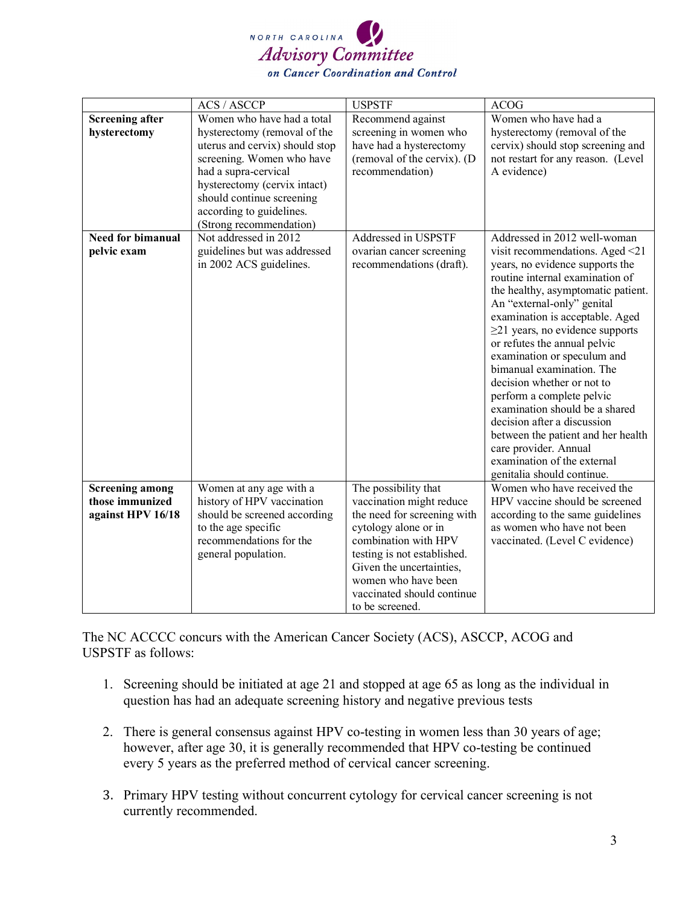

|                                                                | <b>ACS / ASCCP</b>                                                                                                                                                                                                                                                    | <b>USPSTF</b>                                                                                                                                                                                                                                                      | <b>ACOG</b>                                                                                                                                                                                                                                                                                                                                                                                                                                                                                                                                                                                                                               |
|----------------------------------------------------------------|-----------------------------------------------------------------------------------------------------------------------------------------------------------------------------------------------------------------------------------------------------------------------|--------------------------------------------------------------------------------------------------------------------------------------------------------------------------------------------------------------------------------------------------------------------|-------------------------------------------------------------------------------------------------------------------------------------------------------------------------------------------------------------------------------------------------------------------------------------------------------------------------------------------------------------------------------------------------------------------------------------------------------------------------------------------------------------------------------------------------------------------------------------------------------------------------------------------|
| <b>Screening after</b><br>hysterectomy                         | Women who have had a total<br>hysterectomy (removal of the<br>uterus and cervix) should stop<br>screening. Women who have<br>had a supra-cervical<br>hysterectomy (cervix intact)<br>should continue screening<br>according to guidelines.<br>(Strong recommendation) | Recommend against<br>screening in women who<br>have had a hysterectomy<br>(removal of the cervix). (D<br>recommendation)                                                                                                                                           | Women who have had a<br>hysterectomy (removal of the<br>cervix) should stop screening and<br>not restart for any reason. (Level<br>A evidence)                                                                                                                                                                                                                                                                                                                                                                                                                                                                                            |
| <b>Need for bimanual</b><br>pelvic exam                        | Not addressed in 2012<br>guidelines but was addressed<br>in 2002 ACS guidelines.                                                                                                                                                                                      | Addressed in USPSTF<br>ovarian cancer screening<br>recommendations (draft).                                                                                                                                                                                        | Addressed in 2012 well-woman<br>visit recommendations. Aged <21<br>years, no evidence supports the<br>routine internal examination of<br>the healthy, asymptomatic patient.<br>An "external-only" genital<br>examination is acceptable. Aged<br>$\geq$ 21 years, no evidence supports<br>or refutes the annual pelvic<br>examination or speculum and<br>bimanual examination. The<br>decision whether or not to<br>perform a complete pelvic<br>examination should be a shared<br>decision after a discussion<br>between the patient and her health<br>care provider. Annual<br>examination of the external<br>genitalia should continue. |
| <b>Screening among</b><br>those immunized<br>against HPV 16/18 | Women at any age with a<br>history of HPV vaccination<br>should be screened according<br>to the age specific<br>recommendations for the<br>general population.                                                                                                        | The possibility that<br>vaccination might reduce<br>the need for screening with<br>cytology alone or in<br>combination with HPV<br>testing is not established.<br>Given the uncertainties,<br>women who have been<br>vaccinated should continue<br>to be screened. | Women who have received the<br>HPV vaccine should be screened<br>according to the same guidelines<br>as women who have not been<br>vaccinated. (Level C evidence)                                                                                                                                                                                                                                                                                                                                                                                                                                                                         |

The NC ACCCC concurs with the American Cancer Society (ACS), ASCCP, ACOG and USPSTF as follows:

- 1. Screening should be initiated at age 21 and stopped at age 65 as long as the individual in question has had an adequate screening history and negative previous tests
- 2. There is general consensus against HPV co-testing in women less than 30 years of age; however, after age 30, it is generally recommended that HPV co-testing be continued every 5 years as the preferred method of cervical cancer screening.
- 3. Primary HPV testing without concurrent cytology for cervical cancer screening is not currently recommended.